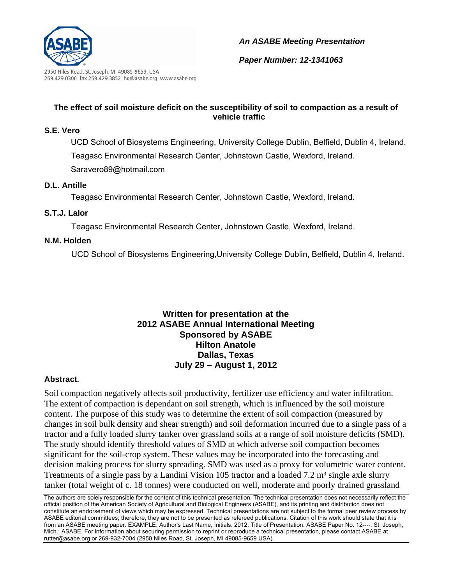

2950 Niles Road, St. Joseph, MI 49085-9659, USA 269.429.0300 fax 269.429.3852 hq@asabe.org www.asabe.org

## *An ASABE Meeting Presentation*

*Paper Number: 12-1341063*

## **The effect of soil moisture deficit on the susceptibility of soil to compaction as a result of vehicle traffic**

## **S.E. Vero**

UCD School of Biosystems Engineering, University College Dublin, Belfield, Dublin 4, Ireland. Teagasc Environmental Research Center, Johnstown Castle, Wexford, Ireland. Saravero89@hotmail.com

### **D.L. Antille**

Teagasc Environmental Research Center, Johnstown Castle, Wexford, Ireland.

## **S.T.J. Lalor**

Teagasc Environmental Research Center, Johnstown Castle, Wexford, Ireland.

### **N.M. Holden**

UCD School of Biosystems Engineering,University College Dublin, Belfield, Dublin 4, Ireland.

## **Written for presentation at the 2012 ASABE Annual International Meeting Sponsored by ASABE Hilton Anatole Dallas, Texas July 29 – August 1, 2012**

## **Abstract***.*

Soil compaction negatively affects soil productivity, fertilizer use efficiency and water infiltration. The extent of compaction is dependant on soil strength, which is influenced by the soil moisture content. The purpose of this study was to determine the extent of soil compaction (measured by changes in soil bulk density and shear strength) and soil deformation incurred due to a single pass of a tractor and a fully loaded slurry tanker over grassland soils at a range of soil moisture deficits (SMD). The study should identify threshold values of SMD at which adverse soil compaction becomes significant for the soil-crop system. These values may be incorporated into the forecasting and decision making process for slurry spreading. SMD was used as a proxy for volumetric water content. Treatments of a single pass by a Landini Vision 105 tractor and a loaded 7.2 m<sup>3</sup> single axle slurry tanker (total weight of c. 18 tonnes) were conducted on well, moderate and poorly drained grassland

The authors are solely responsible for the content of this technical presentation. The technical presentation does not necessarily reflect the official position of the American Society of Agricultural and Biological Engineers (ASABE), and its printing and distribution does not constitute an endorsement of views which may be expressed. Technical presentations are not subject to the formal peer review process by ASABE editorial committees; therefore, they are not to be presented as refereed publications. Citation of this work should state that it is from an ASABE meeting paper. EXAMPLE: Author's Last Name, Initials. 2012. Title of Presentation. ASABE Paper No. 12----. St. Joseph, Mich.: ASABE. For information about securing permission to reprint or reproduce a technical presentation, please contact ASABE at rutter@asabe.org or 269-932-7004 (2950 Niles Road, St. Joseph, MI 49085-9659 USA).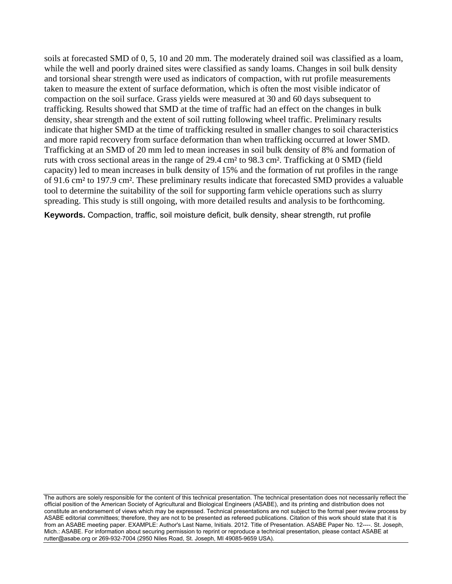soils at forecasted SMD of 0, 5, 10 and 20 mm. The moderately drained soil was classified as a loam, while the well and poorly drained sites were classified as sandy loams. Changes in soil bulk density and torsional shear strength were used as indicators of compaction, with rut profile measurements taken to measure the extent of surface deformation, which is often the most visible indicator of compaction on the soil surface. Grass yields were measured at 30 and 60 days subsequent to trafficking. Results showed that SMD at the time of traffic had an effect on the changes in bulk density, shear strength and the extent of soil rutting following wheel traffic. Preliminary results indicate that higher SMD at the time of trafficking resulted in smaller changes to soil characteristics and more rapid recovery from surface deformation than when trafficking occurred at lower SMD. Trafficking at an SMD of 20 mm led to mean increases in soil bulk density of 8% and formation of ruts with cross sectional areas in the range of 29.4 cm² to 98.3 cm². Trafficking at 0 SMD (field capacity) led to mean increases in bulk density of 15% and the formation of rut profiles in the range of 91.6 cm² to 197.9 cm². These preliminary results indicate that forecasted SMD provides a valuable tool to determine the suitability of the soil for supporting farm vehicle operations such as slurry spreading. This study is still ongoing, with more detailed results and analysis to be forthcoming.

**Keywords.** Compaction, traffic, soil moisture deficit, bulk density, shear strength, rut profile

The authors are solely responsible for the content of this technical presentation. The technical presentation does not necessarily reflect the official position of the American Society of Agricultural and Biological Engineers (ASABE), and its printing and distribution does not constitute an endorsement of views which may be expressed. Technical presentations are not subject to the formal peer review process by ASABE editorial committees; therefore, they are not to be presented as refereed publications. Citation of this work should state that it is from an ASABE meeting paper. EXAMPLE: Author's Last Name, Initials. 2012. Title of Presentation. ASABE Paper No. 12----. St. Joseph, Mich.: ASABE. For information about securing permission to reprint or reproduce a technical presentation, please contact ASABE at rutter@asabe.org or 269-932-7004 (2950 Niles Road, St. Joseph, MI 49085-9659 USA).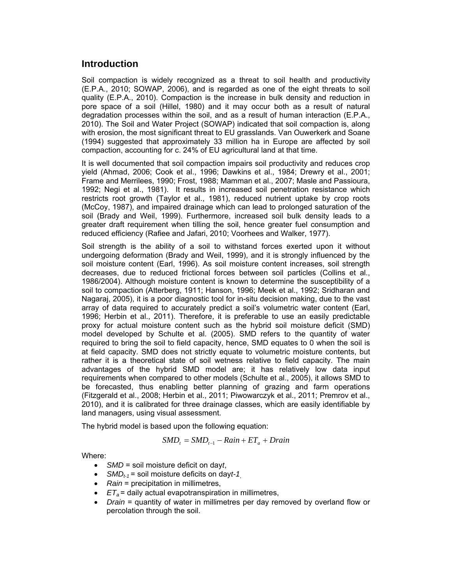# **Introduction**

Soil compaction is widely recognized as a threat to soil health and productivity (E.P.A., 2010; SOWAP, 2006), and is regarded as one of the eight threats to soil quality (E.P.A., 2010). Compaction is the increase in bulk density and reduction in pore space of a soil (Hillel, 1980) and it may occur both as a result of natural degradation processes within the soil, and as a result of human interaction (E.P.A., 2010). The Soil and Water Project (SOWAP) indicated that soil compaction is, along with erosion, the most significant threat to EU grasslands. Van Ouwerkerk and Soane (1994) suggested that approximately 33 million ha in Europe are affected by soil compaction, accounting for c. 24% of EU agricultural land at that time.

It is well documented that soil compaction impairs soil productivity and reduces crop yield (Ahmad, 2006; Cook et al., 1996; Dawkins et al., 1984; Drewry et al., 2001; Frame and Merrilees, 1990; Frost, 1988; Mamman et al., 2007; Masle and Passioura, 1992; Negi et al., 1981). It results in increased soil penetration resistance which restricts root growth (Taylor et al., 1981), reduced nutrient uptake by crop roots (McCoy, 1987), and impaired drainage which can lead to prolonged saturation of the soil (Brady and Weil, 1999). Furthermore, increased soil bulk density leads to a greater draft requirement when tilling the soil, hence greater fuel consumption and reduced efficiency (Rafiee and Jafari, 2010; Voorhees and Walker, 1977).

Soil strength is the ability of a soil to withstand forces exerted upon it without undergoing deformation (Brady and Weil, 1999), and it is strongly influenced by the soil moisture content (Earl, 1996). As soil moisture content increases, soil strength decreases, due to reduced frictional forces between soil particles (Collins et al., 1986/2004). Although moisture content is known to determine the susceptibility of a soil to compaction (Atterberg, 1911; Hanson, 1996; Meek et al., 1992; Sridharan and Nagaraj, 2005), it is a poor diagnostic tool for in-situ decision making, due to the vast array of data required to accurately predict a soil's volumetric water content (Earl, 1996; Herbin et al., 2011). Therefore, it is preferable to use an easily predictable proxy for actual moisture content such as the hybrid soil moisture deficit (SMD) model developed by Schulte et al. (2005). SMD refers to the quantity of water required to bring the soil to field capacity, hence, SMD equates to 0 when the soil is at field capacity. SMD does not strictly equate to volumetric moisture contents, but rather it is a theoretical state of soil wetness relative to field capacity. The main advantages of the hybrid SMD model are; it has relatively low data input requirements when compared to other models (Schulte et al., 2005), it allows SMD to be forecasted, thus enabling better planning of grazing and farm operations (Fitzgerald et al., 2008; Herbin et al., 2011; Piwowarczyk et al., 2011; Premrov et al., 2010), and it is calibrated for three drainage classes, which are easily identifiable by land managers, using visual assessment.

The hybrid model is based upon the following equation:

$$
SMD_{t} = SMD_{t-1} - Rain + ET_{a} + Drain
$$

Where:

- *SMD* = soil moisture deficit on day*t*,
- *SMDt-1* = soil moisture deficits on day*t-1*,
- Rain = precipitation in millimetres,
- $\cdot$  *ET<sub>a</sub>* = daily actual evapotranspiration in millimetres,
- *Drain* = quantity of water in millimetres per day removed by overland flow or percolation through the soil.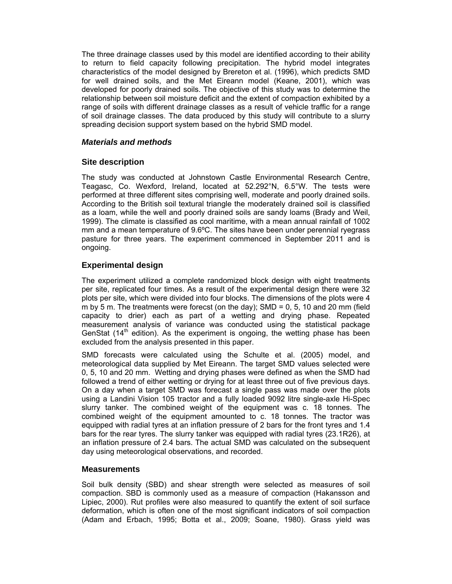The three drainage classes used by this model are identified according to their ability to return to field capacity following precipitation. The hybrid model integrates characteristics of the model designed by Brereton et al. (1996), which predicts SMD for well drained soils, and the Met Eireann model (Keane, 2001), which was developed for poorly drained soils. The objective of this study was to determine the relationship between soil moisture deficit and the extent of compaction exhibited by a range of soils with different drainage classes as a result of vehicle traffic for a range of soil drainage classes. The data produced by this study will contribute to a slurry spreading decision support system based on the hybrid SMD model.

### *Materials and methods*

### **Site description**

The study was conducted at Johnstown Castle Environmental Research Centre, Teagasc, Co. Wexford, Ireland, located at 52.292°N, 6.5°W. The tests were performed at three different sites comprising well, moderate and poorly drained soils. According to the British soil textural triangle the moderately drained soil is classified as a loam, while the well and poorly drained soils are sandy loams (Brady and Weil, 1999). The climate is classified as cool maritime, with a mean annual rainfall of 1002 mm and a mean temperature of 9.6ºC. The sites have been under perennial ryegrass pasture for three years. The experiment commenced in September 2011 and is ongoing.

## **Experimental design**

The experiment utilized a complete randomized block design with eight treatments per site, replicated four times. As a result of the experimental design there were 32 plots per site, which were divided into four blocks. The dimensions of the plots were 4 m by 5 m. The treatments were forecst (on the day);  $SMD = 0, 5, 10$  and 20 mm (field capacity to drier) each as part of a wetting and drying phase. Repeated measurement analysis of variance was conducted using the statistical package GenStat  $(14<sup>th</sup>$  edition). As the experiment is ongoing, the wetting phase has been excluded from the analysis presented in this paper.

SMD forecasts were calculated using the Schulte et al. (2005) model, and meteorological data supplied by Met Eireann. The target SMD values selected were 0, 5, 10 and 20 mm. Wetting and drying phases were defined as when the SMD had followed a trend of either wetting or drying for at least three out of five previous days. On a day when a target SMD was forecast a single pass was made over the plots using a Landini Vision 105 tractor and a fully loaded 9092 litre single-axle Hi-Spec slurry tanker. The combined weight of the equipment was c. 18 tonnes. The combined weight of the equipment amounted to c. 18 tonnes. The tractor was equipped with radial tyres at an inflation pressure of 2 bars for the front tyres and 1.4 bars for the rear tyres. The slurry tanker was equipped with radial tyres (23.1R26), at an inflation pressure of 2.4 bars. The actual SMD was calculated on the subsequent day using meteorological observations, and recorded.

#### **Measurements**

Soil bulk density (SBD) and shear strength were selected as measures of soil compaction. SBD is commonly used as a measure of compaction (Hakansson and Lipiec, 2000). Rut profiles were also measured to quantify the extent of soil surface deformation, which is often one of the most significant indicators of soil compaction (Adam and Erbach, 1995; Botta et al., 2009; Soane, 1980). Grass yield was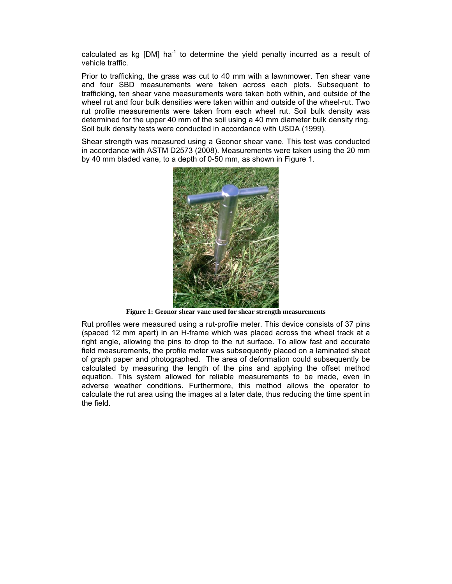calculated as kg  $[DM]$  ha<sup>-1</sup> to determine the yield penalty incurred as a result of vehicle traffic.

Prior to trafficking, the grass was cut to 40 mm with a lawnmower. Ten shear vane and four SBD measurements were taken across each plots. Subsequent to trafficking, ten shear vane measurements were taken both within, and outside of the wheel rut and four bulk densities were taken within and outside of the wheel-rut. Two rut profile measurements were taken from each wheel rut. Soil bulk density was determined for the upper 40 mm of the soil using a 40 mm diameter bulk density ring. Soil bulk density tests were conducted in accordance with USDA (1999).

Shear strength was measured using a Geonor shear vane. This test was conducted in accordance with ASTM D2573 (2008). Measurements were taken using the 20 mm by 40 mm bladed vane, to a depth of 0-50 mm, as shown in Figure 1.



**Figure 1: Geonor shear vane used for shear strength measurements** 

Rut profiles were measured using a rut-profile meter. This device consists of 37 pins (spaced 12 mm apart) in an H-frame which was placed across the wheel track at a right angle, allowing the pins to drop to the rut surface. To allow fast and accurate field measurements, the profile meter was subsequently placed on a laminated sheet of graph paper and photographed. The area of deformation could subsequently be calculated by measuring the length of the pins and applying the offset method equation. This system allowed for reliable measurements to be made, even in adverse weather conditions. Furthermore, this method allows the operator to calculate the rut area using the images at a later date, thus reducing the time spent in the field.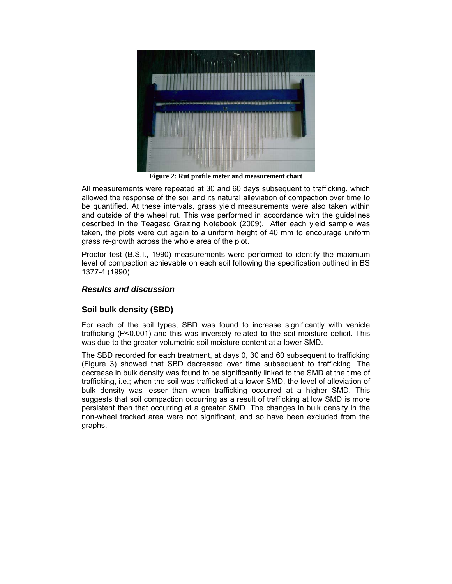

**Figure 2: Rut profile meter and measurement chart** 

All measurements were repeated at 30 and 60 days subsequent to trafficking, which allowed the response of the soil and its natural alleviation of compaction over time to be quantified. At these intervals, grass yield measurements were also taken within and outside of the wheel rut. This was performed in accordance with the guidelines described in the Teagasc Grazing Notebook (2009). After each yield sample was taken, the plots were cut again to a uniform height of 40 mm to encourage uniform grass re-growth across the whole area of the plot.

Proctor test (B.S.I., 1990) measurements were performed to identify the maximum level of compaction achievable on each soil following the specification outlined in BS 1377-4 (1990).

### *Results and discussion*

## **Soil bulk density (SBD)**

For each of the soil types, SBD was found to increase significantly with vehicle trafficking (P<0.001) and this was inversely related to the soil moisture deficit. This was due to the greater volumetric soil moisture content at a lower SMD.

The SBD recorded for each treatment, at days 0, 30 and 60 subsequent to trafficking (Figure 3) showed that SBD decreased over time subsequent to trafficking. The decrease in bulk density was found to be significantly linked to the SMD at the time of trafficking, i.e.; when the soil was trafficked at a lower SMD, the level of alleviation of bulk density was lesser than when trafficking occurred at a higher SMD. This suggests that soil compaction occurring as a result of trafficking at low SMD is more persistent than that occurring at a greater SMD. The changes in bulk density in the non-wheel tracked area were not significant, and so have been excluded from the graphs.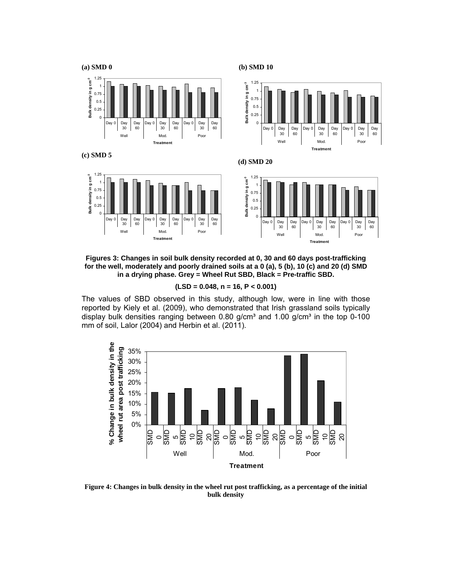

**Figures 3: Changes in soil bulk density recorded at 0, 30 and 60 days post-trafficking for the well, moderately and poorly drained soils at a 0 (a), 5 (b), 10 (c) and 20 (d) SMD in a drying phase. Grey = Wheel Rut SBD, Black = Pre-traffic SBD.** 

**(LSD = 0.048, n = 16, P < 0.001)** 

The values of SBD observed in this study, although low, were in line with those reported by Kiely et al. (2009), who demonstrated that Irish grassland soils typically display bulk densities ranging between  $0.80$  g/cm<sup>3</sup> and  $1.00$  g/cm<sup>3</sup> in the top  $0-100$ mm of soil, Lalor (2004) and Herbin et al. (2011).



**Figure 4: Changes in bulk density in the wheel rut post trafficking, as a percentage of the initial bulk density**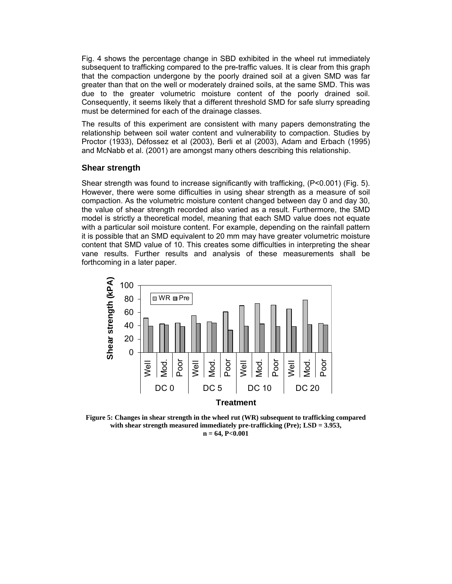Fig. 4 shows the percentage change in SBD exhibited in the wheel rut immediately subsequent to trafficking compared to the pre-traffic values. It is clear from this graph that the compaction undergone by the poorly drained soil at a given SMD was far greater than that on the well or moderately drained soils, at the same SMD. This was due to the greater volumetric moisture content of the poorly drained soil. Consequently, it seems likely that a different threshold SMD for safe slurry spreading must be determined for each of the drainage classes.

The results of this experiment are consistent with many papers demonstrating the relationship between soil water content and vulnerability to compaction. Studies by Proctor (1933), Défossez et al (2003), Berli et al (2003), Adam and Erbach (1995) and McNabb et al. (2001) are amongst many others describing this relationship.

#### **Shear strength**

Shear strength was found to increase significantly with trafficking, (P<0.001) (Fig. 5). However, there were some difficulties in using shear strength as a measure of soil compaction. As the volumetric moisture content changed between day 0 and day 30, the value of shear strength recorded also varied as a result. Furthermore, the SMD model is strictly a theoretical model, meaning that each SMD value does not equate with a particular soil moisture content. For example, depending on the rainfall pattern it is possible that an SMD equivalent to 20 mm may have greater volumetric moisture content that SMD value of 10. This creates some difficulties in interpreting the shear vane results. Further results and analysis of these measurements shall be forthcoming in a later paper.



**Figure 5: Changes in shear strength in the wheel rut (WR) subsequent to trafficking compared with shear strength measured immediately pre-trafficking (Pre); LSD = 3.953, n = 64, P<0.001**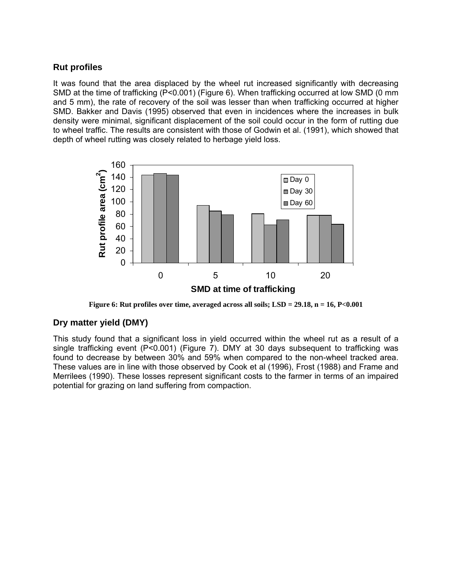# **Rut profiles**

It was found that the area displaced by the wheel rut increased significantly with decreasing SMD at the time of trafficking (P<0.001) (Figure 6). When trafficking occurred at low SMD (0 mm and 5 mm), the rate of recovery of the soil was lesser than when trafficking occurred at higher SMD. Bakker and Davis (1995) observed that even in incidences where the increases in bulk density were minimal, significant displacement of the soil could occur in the form of rutting due to wheel traffic. The results are consistent with those of Godwin et al. (1991), which showed that depth of wheel rutting was closely related to herbage yield loss.



**Figure 6: Rut profiles over time, averaged across all soils; LSD = 29.18, n = 16, P<0.001** 

## **Dry matter yield (DMY)**

This study found that a significant loss in yield occurred within the wheel rut as a result of a single trafficking event (P<0.001) (Figure 7). DMY at 30 days subsequent to trafficking was found to decrease by between 30% and 59% when compared to the non-wheel tracked area. These values are in line with those observed by Cook et al (1996), Frost (1988) and Frame and Merrilees (1990). These losses represent significant costs to the farmer in terms of an impaired potential for grazing on land suffering from compaction.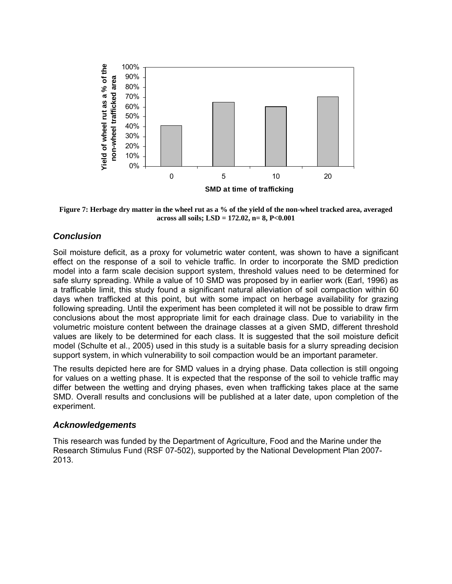

**Figure 7: Herbage dry matter in the wheel rut as a % of the yield of the non-wheel tracked area, averaged across all soils; LSD = 172.02, n= 8, P<0.001** 

## *Conclusion*

Soil moisture deficit, as a proxy for volumetric water content, was shown to have a significant effect on the response of a soil to vehicle traffic. In order to incorporate the SMD prediction model into a farm scale decision support system, threshold values need to be determined for safe slurry spreading. While a value of 10 SMD was proposed by in earlier work (Earl, 1996) as a trafficable limit, this study found a significant natural alleviation of soil compaction within 60 days when trafficked at this point, but with some impact on herbage availability for grazing following spreading. Until the experiment has been completed it will not be possible to draw firm conclusions about the most appropriate limit for each drainage class. Due to variability in the volumetric moisture content between the drainage classes at a given SMD, different threshold values are likely to be determined for each class. It is suggested that the soil moisture deficit model (Schulte et al., 2005) used in this study is a suitable basis for a slurry spreading decision support system, in which vulnerability to soil compaction would be an important parameter.

The results depicted here are for SMD values in a drying phase. Data collection is still ongoing for values on a wetting phase. It is expected that the response of the soil to vehicle traffic may differ between the wetting and drying phases, even when trafficking takes place at the same SMD. Overall results and conclusions will be published at a later date, upon completion of the experiment.

#### *Acknowledgements*

This research was funded by the Department of Agriculture, Food and the Marine under the Research Stimulus Fund (RSF 07-502), supported by the National Development Plan 2007- 2013.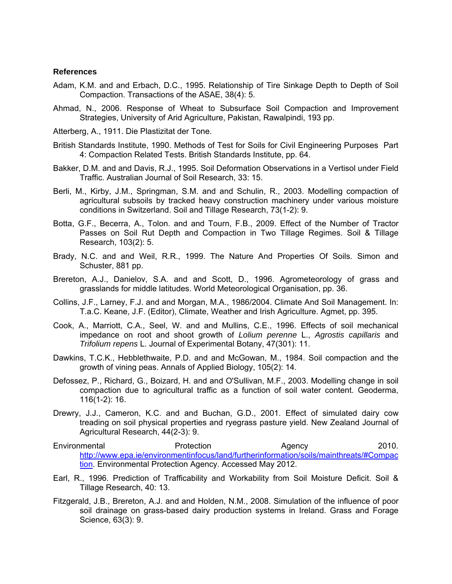#### **References**

- Adam, K.M. and and Erbach, D.C., 1995. Relationship of Tire Sinkage Depth to Depth of Soil Compaction. Transactions of the ASAE, 38(4): 5.
- Ahmad, N., 2006. Response of Wheat to Subsurface Soil Compaction and Improvement Strategies, University of Arid Agriculture, Pakistan, Rawalpindi, 193 pp.
- Atterberg, A., 1911. Die Plastizitat der Tone.
- British Standards Institute, 1990. Methods of Test for Soils for Civil Engineering Purposes Part 4: Compaction Related Tests. British Standards Institute, pp. 64.
- Bakker, D.M. and and Davis, R.J., 1995. Soil Deformation Observations in a Vertisol under Field Traffic. Australian Journal of Soil Research, 33: 15.
- Berli, M., Kirby, J.M., Springman, S.M. and and Schulin, R., 2003. Modelling compaction of agricultural subsoils by tracked heavy construction machinery under various moisture conditions in Switzerland. Soil and Tillage Research, 73(1-2): 9.
- Botta, G.F., Becerra, A., Tolon. and and Tourn, F.B., 2009. Effect of the Number of Tractor Passes on Soil Rut Depth and Compaction in Two Tillage Regimes. Soil & Tillage Research, 103(2): 5.
- Brady, N.C. and and Weil, R.R., 1999. The Nature And Properties Of Soils. Simon and Schuster, 881 pp.
- Brereton, A.J., Danielov, S.A. and and Scott, D., 1996. Agrometeorology of grass and grasslands for middle latitudes. World Meteorological Organisation, pp. 36.
- Collins, J.F., Larney, F.J. and and Morgan, M.A., 1986/2004. Climate And Soil Management. In: T.a.C. Keane, J.F. (Editor), Climate, Weather and Irish Agriculture. Agmet, pp. 395.
- Cook, A., Marriott, C.A., Seel, W. and and Mullins, C.E., 1996. Effects of soil mechanical impedance on root and shoot growth of *Lolium perenne* L., *Agrostis capillaris* and *Trifolium repens* L. Journal of Experimental Botany, 47(301): 11.
- Dawkins, T.C.K., Hebblethwaite, P.D. and and McGowan, M., 1984. Soil compaction and the growth of vining peas. Annals of Applied Biology, 105(2): 14.
- Defossez, P., Richard, G., Boizard, H. and and O'Sullivan, M.F., 2003. Modelling change in soil compaction due to agricultural traffic as a function of soil water content. Geoderma, 116(1-2): 16.
- Drewry, J.J., Cameron, K.C. and and Buchan, G.D., 2001. Effect of simulated dairy cow treading on soil physical properties and ryegrass pasture yield. New Zealand Journal of Agricultural Research, 44(2-3): 9.
- Environmental **Protection** Protection Agency 2010. http://www.epa.ie/environmentinfocus/land/furtherinformation/soils/mainthreats/#Compac tion. Environmental Protection Agency. Accessed May 2012.
- Earl, R., 1996. Prediction of Trafficability and Workability from Soil Moisture Deficit. Soil & Tillage Research, 40: 13.
- Fitzgerald, J.B., Brereton, A.J. and and Holden, N.M., 2008. Simulation of the influence of poor soil drainage on grass-based dairy production systems in Ireland. Grass and Forage Science, 63(3): 9.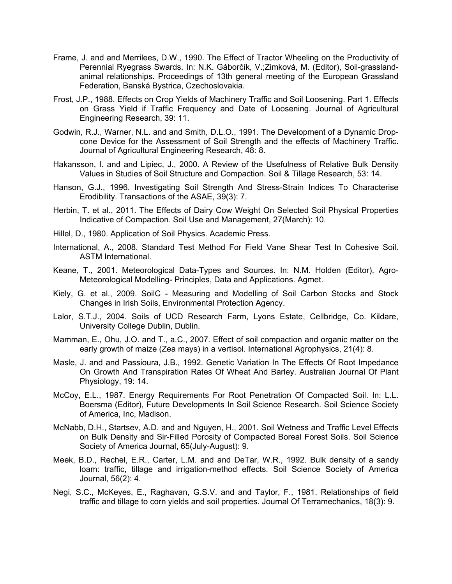- Frame, J. and and Merrilees, D.W., 1990. The Effect of Tractor Wheeling on the Productivity of Perennial Ryegrass Swards. In: N.K. Gáborčík, V.;Zimková, M. (Editor), Soil-grasslandanimal relationships. Proceedings of 13th general meeting of the European Grassland Federation, Banská Bystrica, Czechoslovakia.
- Frost, J.P., 1988. Effects on Crop Yields of Machinery Traffic and Soil Loosening. Part 1. Effects on Grass Yield if Traffic Frequency and Date of Loosening. Journal of Agricultural Engineering Research, 39: 11.
- Godwin, R.J., Warner, N.L. and and Smith, D.L.O., 1991. The Development of a Dynamic Dropcone Device for the Assessment of Soil Strength and the effects of Machinery Traffic. Journal of Agricultural Engineering Research, 48: 8.
- Hakansson, I. and and Lipiec, J., 2000. A Review of the Usefulness of Relative Bulk Density Values in Studies of Soil Structure and Compaction. Soil & Tillage Research, 53: 14.
- Hanson, G.J., 1996. Investigating Soil Strength And Stress-Strain Indices To Characterise Erodibility. Transactions of the ASAE, 39(3): 7.
- Herbin, T. et al., 2011. The Effects of Dairy Cow Weight On Selected Soil Physical Properties Indicative of Compaction. Soil Use and Management, 27(March): 10.
- Hillel, D., 1980. Application of Soil Physics. Academic Press.
- International, A., 2008. Standard Test Method For Field Vane Shear Test In Cohesive Soil. ASTM International.
- Keane, T., 2001. Meteorological Data-Types and Sources. In: N.M. Holden (Editor), Agro-Meteorological Modelling- Principles, Data and Applications. Agmet.
- Kiely, G. et al., 2009. SoilC Measuring and Modelling of Soil Carbon Stocks and Stock Changes in Irish Soils, Environmental Protection Agency.
- Lalor, S.T.J., 2004. Soils of UCD Research Farm, Lyons Estate, Cellbridge, Co. Kildare, University College Dublin, Dublin.
- Mamman, E., Ohu, J.O. and T., a.C., 2007. Effect of soil compaction and organic matter on the early growth of maize (Zea mays) in a vertisol. International Agrophysics, 21(4): 8.
- Masle, J. and and Passioura, J.B., 1992. Genetic Variation In The Effects Of Root Impedance On Growth And Transpiration Rates Of Wheat And Barley. Australian Journal Of Plant Physiology, 19: 14.
- McCoy, E.L., 1987. Energy Requirements For Root Penetration Of Compacted Soil. In: L.L. Boersma (Editor), Future Developments In Soil Science Research. Soil Science Society of America, Inc, Madison.
- McNabb, D.H., Startsev, A.D. and and Nguyen, H., 2001. Soil Wetness and Traffic Level Effects on Bulk Density and Sir-Filled Porosity of Compacted Boreal Forest Soils. Soil Science Society of America Journal, 65(July-August): 9.
- Meek, B.D., Rechel, E.R., Carter, L.M. and and DeTar, W.R., 1992. Bulk density of a sandy loam: traffic, tillage and irrigation-method effects. Soil Science Society of America Journal, 56(2): 4.
- Negi, S.C., McKeyes, E., Raghavan, G.S.V. and and Taylor, F., 1981. Relationships of field traffic and tillage to corn yields and soil properties. Journal Of Terramechanics, 18(3): 9.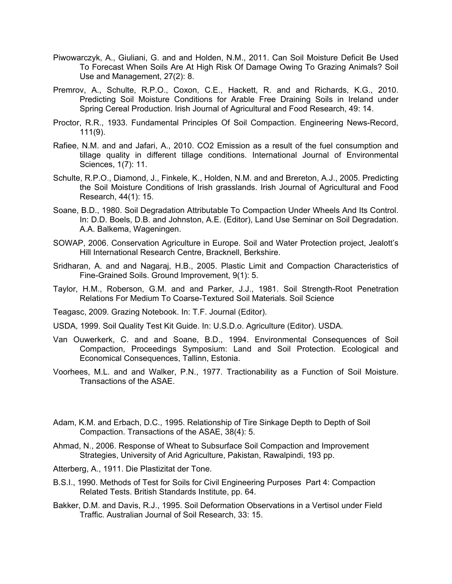- Piwowarczyk, A., Giuliani, G. and and Holden, N.M., 2011. Can Soil Moisture Deficit Be Used To Forecast When Soils Are At High Risk Of Damage Owing To Grazing Animals? Soil Use and Management, 27(2): 8.
- Premrov, A., Schulte, R.P.O., Coxon, C.E., Hackett, R. and and Richards, K.G., 2010. Predicting Soil Moisture Conditions for Arable Free Draining Soils in Ireland under Spring Cereal Production. Irish Journal of Agricultural and Food Research, 49: 14.
- Proctor, R.R., 1933. Fundamental Principles Of Soil Compaction. Engineering News-Record, 111(9).
- Rafiee, N.M. and and Jafari, A., 2010. CO2 Emission as a result of the fuel consumption and tillage quality in different tillage conditions. International Journal of Environmental Sciences, 1(7): 11.
- Schulte, R.P.O., Diamond, J., Finkele, K., Holden, N.M. and and Brereton, A.J., 2005. Predicting the Soil Moisture Conditions of Irish grasslands. Irish Journal of Agricultural and Food Research, 44(1): 15.
- Soane, B.D., 1980. Soil Degradation Attributable To Compaction Under Wheels And Its Control. In: D.D. Boels, D.B. and Johnston, A.E. (Editor), Land Use Seminar on Soil Degradation. A.A. Balkema, Wageningen.
- SOWAP, 2006. Conservation Agriculture in Europe. Soil and Water Protection project, Jealott's Hill International Research Centre, Bracknell, Berkshire.
- Sridharan, A. and and Nagaraj, H.B., 2005. Plastic Limit and Compaction Characteristics of Fine-Grained Soils. Ground Improvement, 9(1): 5.
- Taylor, H.M., Roberson, G.M. and and Parker, J.J., 1981. Soil Strength-Root Penetration Relations For Medium To Coarse-Textured Soil Materials. Soil Science
- Teagasc, 2009. Grazing Notebook. In: T.F. Journal (Editor).
- USDA, 1999. Soil Quality Test Kit Guide. In: U.S.D.o. Agriculture (Editor). USDA.
- Van Ouwerkerk, C. and and Soane, B.D., 1994. Environmental Consequences of Soil Compaction, Proceedings Symposium: Land and Soil Protection. Ecological and Economical Consequences, Tallinn, Estonia.
- Voorhees, M.L. and and Walker, P.N., 1977. Tractionability as a Function of Soil Moisture. Transactions of the ASAE.
- Adam, K.M. and Erbach, D.C., 1995. Relationship of Tire Sinkage Depth to Depth of Soil Compaction. Transactions of the ASAE, 38(4): 5.
- Ahmad, N., 2006. Response of Wheat to Subsurface Soil Compaction and Improvement Strategies, University of Arid Agriculture, Pakistan, Rawalpindi, 193 pp.
- Atterberg, A., 1911. Die Plastizitat der Tone.
- B.S.I., 1990. Methods of Test for Soils for Civil Engineering Purposes Part 4: Compaction Related Tests. British Standards Institute, pp. 64.
- Bakker, D.M. and Davis, R.J., 1995. Soil Deformation Observations in a Vertisol under Field Traffic. Australian Journal of Soil Research, 33: 15.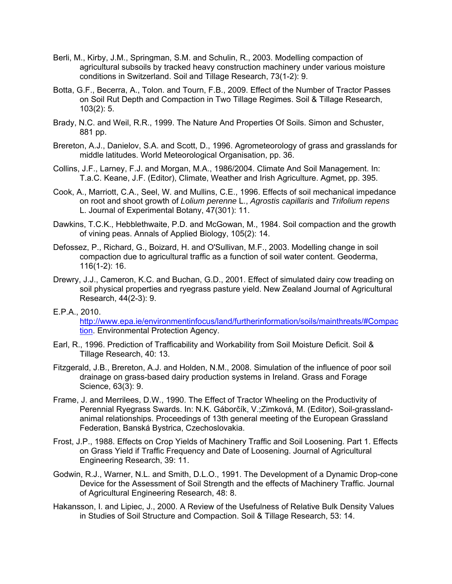- Berli, M., Kirby, J.M., Springman, S.M. and Schulin, R., 2003. Modelling compaction of agricultural subsoils by tracked heavy construction machinery under various moisture conditions in Switzerland. Soil and Tillage Research, 73(1-2): 9.
- Botta, G.F., Becerra, A., Tolon. and Tourn, F.B., 2009. Effect of the Number of Tractor Passes on Soil Rut Depth and Compaction in Two Tillage Regimes. Soil & Tillage Research, 103(2): 5.
- Brady, N.C. and Weil, R.R., 1999. The Nature And Properties Of Soils. Simon and Schuster, 881 pp.
- Brereton, A.J., Danielov, S.A. and Scott, D., 1996. Agrometeorology of grass and grasslands for middle latitudes. World Meteorological Organisation, pp. 36.
- Collins, J.F., Larney, F.J. and Morgan, M.A., 1986/2004. Climate And Soil Management. In: T.a.C. Keane, J.F. (Editor), Climate, Weather and Irish Agriculture. Agmet, pp. 395.
- Cook, A., Marriott, C.A., Seel, W. and Mullins, C.E., 1996. Effects of soil mechanical impedance on root and shoot growth of *Lolium perenne* L., *Agrostis capillaris* and *Trifolium repens*  L. Journal of Experimental Botany, 47(301): 11.
- Dawkins, T.C.K., Hebblethwaite, P.D. and McGowan, M., 1984. Soil compaction and the growth of vining peas. Annals of Applied Biology, 105(2): 14.
- Defossez, P., Richard, G., Boizard, H. and O'Sullivan, M.F., 2003. Modelling change in soil compaction due to agricultural traffic as a function of soil water content. Geoderma, 116(1-2): 16.
- Drewry, J.J., Cameron, K.C. and Buchan, G.D., 2001. Effect of simulated dairy cow treading on soil physical properties and ryegrass pasture yield. New Zealand Journal of Agricultural Research, 44(2-3): 9.

#### E.P.A., 2010.

http://www.epa.ie/environmentinfocus/land/furtherinformation/soils/mainthreats/#Compac tion. Environmental Protection Agency.

- Earl, R., 1996. Prediction of Trafficability and Workability from Soil Moisture Deficit. Soil & Tillage Research, 40: 13.
- Fitzgerald, J.B., Brereton, A.J. and Holden, N.M., 2008. Simulation of the influence of poor soil drainage on grass-based dairy production systems in Ireland. Grass and Forage Science, 63(3): 9.
- Frame, J. and Merrilees, D.W., 1990. The Effect of Tractor Wheeling on the Productivity of Perennial Ryegrass Swards. In: N.K. Gáborčík, V.;Zimková, M. (Editor), Soil-grasslandanimal relationships. Proceedings of 13th general meeting of the European Grassland Federation, Banská Bystrica, Czechoslovakia.
- Frost, J.P., 1988. Effects on Crop Yields of Machinery Traffic and Soil Loosening. Part 1. Effects on Grass Yield if Traffic Frequency and Date of Loosening. Journal of Agricultural Engineering Research, 39: 11.
- Godwin, R.J., Warner, N.L. and Smith, D.L.O., 1991. The Development of a Dynamic Drop-cone Device for the Assessment of Soil Strength and the effects of Machinery Traffic. Journal of Agricultural Engineering Research, 48: 8.
- Hakansson, I. and Lipiec, J., 2000. A Review of the Usefulness of Relative Bulk Density Values in Studies of Soil Structure and Compaction. Soil & Tillage Research, 53: 14.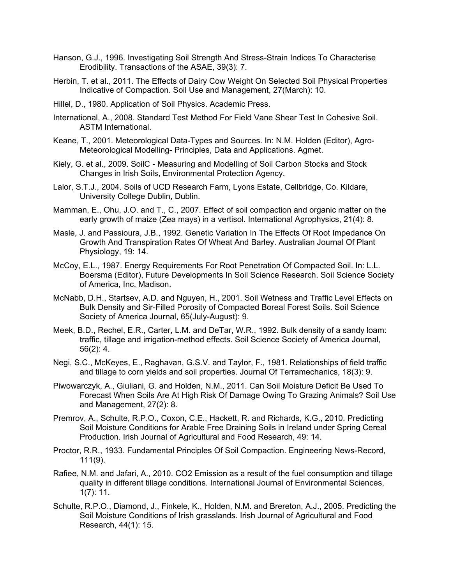- Hanson, G.J., 1996. Investigating Soil Strength And Stress-Strain Indices To Characterise Erodibility. Transactions of the ASAE, 39(3): 7.
- Herbin, T. et al., 2011. The Effects of Dairy Cow Weight On Selected Soil Physical Properties Indicative of Compaction. Soil Use and Management, 27(March): 10.
- Hillel, D., 1980. Application of Soil Physics. Academic Press.
- International, A., 2008. Standard Test Method For Field Vane Shear Test In Cohesive Soil. ASTM International.
- Keane, T., 2001. Meteorological Data-Types and Sources. In: N.M. Holden (Editor), Agro-Meteorological Modelling- Principles, Data and Applications. Agmet.
- Kiely, G. et al., 2009. SoilC Measuring and Modelling of Soil Carbon Stocks and Stock Changes in Irish Soils, Environmental Protection Agency.
- Lalor, S.T.J., 2004. Soils of UCD Research Farm, Lyons Estate, Cellbridge, Co. Kildare, University College Dublin, Dublin.
- Mamman, E., Ohu, J.O. and T., C., 2007. Effect of soil compaction and organic matter on the early growth of maize (Zea mays) in a vertisol. International Agrophysics, 21(4): 8.
- Masle, J. and Passioura, J.B., 1992. Genetic Variation In The Effects Of Root Impedance On Growth And Transpiration Rates Of Wheat And Barley. Australian Journal Of Plant Physiology, 19: 14.
- McCoy, E.L., 1987. Energy Requirements For Root Penetration Of Compacted Soil. In: L.L. Boersma (Editor), Future Developments In Soil Science Research. Soil Science Society of America, Inc, Madison.
- McNabb, D.H., Startsev, A.D. and Nguyen, H., 2001. Soil Wetness and Traffic Level Effects on Bulk Density and Sir-Filled Porosity of Compacted Boreal Forest Soils. Soil Science Society of America Journal, 65(July-August): 9.
- Meek, B.D., Rechel, E.R., Carter, L.M. and DeTar, W.R., 1992. Bulk density of a sandy loam: traffic, tillage and irrigation-method effects. Soil Science Society of America Journal, 56(2): 4.
- Negi, S.C., McKeyes, E., Raghavan, G.S.V. and Taylor, F., 1981. Relationships of field traffic and tillage to corn yields and soil properties. Journal Of Terramechanics, 18(3): 9.
- Piwowarczyk, A., Giuliani, G. and Holden, N.M., 2011. Can Soil Moisture Deficit Be Used To Forecast When Soils Are At High Risk Of Damage Owing To Grazing Animals? Soil Use and Management, 27(2): 8.
- Premrov, A., Schulte, R.P.O., Coxon, C.E., Hackett, R. and Richards, K.G., 2010. Predicting Soil Moisture Conditions for Arable Free Draining Soils in Ireland under Spring Cereal Production. Irish Journal of Agricultural and Food Research, 49: 14.
- Proctor, R.R., 1933. Fundamental Principles Of Soil Compaction. Engineering News-Record, 111(9).
- Rafiee, N.M. and Jafari, A., 2010. CO2 Emission as a result of the fuel consumption and tillage quality in different tillage conditions. International Journal of Environmental Sciences, 1(7): 11.
- Schulte, R.P.O., Diamond, J., Finkele, K., Holden, N.M. and Brereton, A.J., 2005. Predicting the Soil Moisture Conditions of Irish grasslands. Irish Journal of Agricultural and Food Research, 44(1): 15.